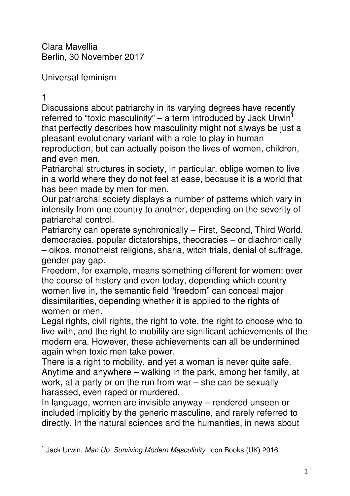Clara Mavellia Berlin, 30 November 2017

Universal feminism

1

Discussions about patriarchy in its varying degrees have recently referred to "toxic masculinity" – a term introduced by Jack Urwin<sup>1</sup> that perfectly describes how masculinity might not always be just a pleasant evolutionary variant with a role to play in human reproduction, but can actually poison the lives of women, children, and even men.

Patriarchal structures in society, in particular, oblige women to live in a world where they do not feel at ease, because it is a world that has been made by men for men.

Our patriarchal society displays a number of patterns which vary in intensity from one country to another, depending on the severity of patriarchal control.

Patriarchy can operate synchronically – First, Second, Third World, democracies, popular dictatorships, theocracies – or diachronically – oikos, monotheist religions, sharia, witch trials, denial of suffrage, gender pay gap.

Freedom, for example, means something different for women: over the course of history and even today, depending which country women live in, the semantic field "freedom" can conceal major dissimilarities, depending whether it is applied to the rights of women or men.

Legal rights, civil rights, the right to vote, the right to choose who to live with, and the right to mobility are significant achievements of the modern era. However, these achievements can all be undermined again when toxic men take power.

There is a right to mobility, and yet a woman is never quite safe. Anytime and anywhere – walking in the park, among her family, at work, at a party or on the run from war – she can be sexually harassed, even raped or murdered.

In language, women are invisible anyway – rendered unseen or included implicitly by the generic masculine, and rarely referred to directly. In the natural sciences and the humanities, in news about

l 1 Jack Urwin, Man Up: Surviving Modern Masculinity. Icon Books (UK) 2016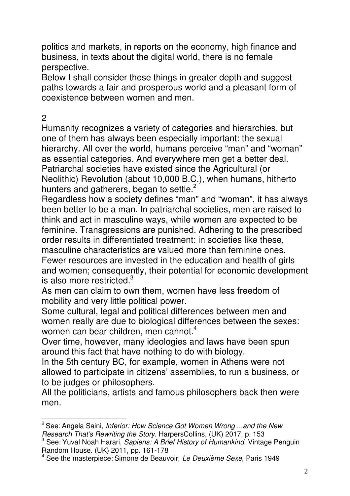politics and markets, in reports on the economy, high finance and business, in texts about the digital world, there is no female perspective.

Below I shall consider these things in greater depth and suggest paths towards a fair and prosperous world and a pleasant form of coexistence between women and men.

## 2

Humanity recognizes a variety of categories and hierarchies, but one of them has always been especially important: the sexual hierarchy. All over the world, humans perceive "man" and "woman" as essential categories. And everywhere men get a better deal. Patriarchal societies have existed since the Agricultural (or Neolithic) Revolution (about 10,000 B.C.), when humans, hitherto hunters and gatherers, began to settle. $2$ 

Regardless how a society defines "man" and "woman", it has always been better to be a man. In patriarchal societies, men are raised to think and act in masculine ways, while women are expected to be feminine. Transgressions are punished. Adhering to the prescribed order results in differentiated treatment: in societies like these, masculine characteristics are valued more than feminine ones. Fewer resources are invested in the education and health of girls and women; consequently, their potential for economic development is also more restricted. $3$ 

As men can claim to own them, women have less freedom of mobility and very little political power.

Some cultural, legal and political differences between men and women really are due to biological differences between the sexes: women can bear children, men cannot.<sup>4</sup>

Over time, however, many ideologies and laws have been spun around this fact that have nothing to do with biology.

In the 5th century BC, for example, women in Athens were not allowed to participate in citizens' assemblies, to run a business, or to be judges or philosophers.

All the politicians, artists and famous philosophers back then were men.

l  $2$  See: Angela Saini, Inferior: How Science Got Women Wrong ...and the New Research That's Rewriting the Story. HarpersCollins, (UK) 2017, p. 153

<sup>&</sup>lt;sup>3</sup> See: Yuval Noah Harari, Sapiens: A Brief History of Humankind. Vintage Penguin Random House. (UK) 2011, pp. 161-178

<sup>&</sup>lt;sup>4</sup> See the masterpiece: Simone de Beauvoir, Le Deuxième Sexe, Paris 1949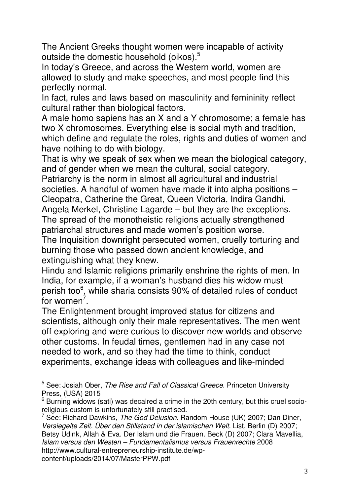The Ancient Greeks thought women were incapable of activity outside the domestic household (oikos).<sup>5</sup>

In today's Greece, and across the Western world, women are allowed to study and make speeches, and most people find this perfectly normal.

In fact, rules and laws based on masculinity and femininity reflect cultural rather than biological factors.

A male homo sapiens has an X and a Y chromosome; a female has two X chromosomes. Everything else is social myth and tradition, which define and regulate the roles, rights and duties of women and have nothing to do with biology.

That is why we speak of sex when we mean the biological category, and of gender when we mean the cultural, social category.

Patriarchy is the norm in almost all agricultural and industrial societies. A handful of women have made it into alpha positions – Cleopatra, Catherine the Great, Queen Victoria, Indira Gandhi, Angela Merkel, Christine Lagarde – but they are the exceptions. The spread of the monotheistic religions actually strengthened

patriarchal structures and made women's position worse.

The Inquisition downright persecuted women, cruelly torturing and burning those who passed down ancient knowledge, and extinguishing what they knew.

Hindu and Islamic religions primarily enshrine the rights of men. In India, for example, if a woman's husband dies his widow must perish too<sup>6</sup>, while sharia consists 90% of detailed rules of conduct for women<sup>7</sup>.

The Enlightenment brought improved status for citizens and scientists, although only their male representatives. The men went off exploring and were curious to discover new worlds and observe other customs. In feudal times, gentlemen had in any case not needed to work, and so they had the time to think, conduct experiments, exchange ideas with colleagues and like-minded

content/uploads/2014/07/MasterPPW.pdf

 5 See: Josiah Ober, The Rise and Fall of Classical Greece. Princeton University Press, (USA) 2015

 $6$  Burning widows (sati) was decalred a crime in the 20th century, but this cruel socioreligious custom is unfortunately still practised.

<sup>&</sup>lt;sup>7</sup> See: Richard Dawkins, The God Delusion. Random House (UK) 2007; Dan Diner, Versiegelte Zeit. Über den Stillstand in der islamischen Welt. List, Berlin (D) 2007; Betsy Udink, Allah & Eva. Der Islam und die Frauen. Beck (D) 2007; Clara Mavellia, Islam versus den Westen – Fundamentalismus versus Frauenrechte 2008 http://www.cultural-entrepreneurship-institute.de/wp-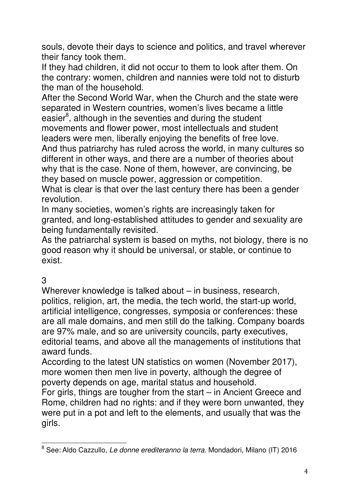souls, devote their days to science and politics, and travel wherever their fancy took them.

If they had children, it did not occur to them to look after them. On the contrary: women, children and nannies were told not to disturb the man of the household.

After the Second World War, when the Church and the state were separated in Western countries, women's lives became a little easier<sup>8</sup>, although in the seventies and during the student movements and flower power, most intellectuals and student leaders were men, liberally enjoying the benefits of free love. And thus patriarchy has ruled across the world, in many cultures so different in other ways, and there are a number of theories about why that is the case. None of them, however, are convincing, be they based on muscle power, aggression or competition. What is clear is that over the last century there has been a gender

revolution.

In many societies, women's rights are increasingly taken for granted, and long-established attitudes to gender and sexuality are being fundamentally revisited.

As the patriarchal system is based on myths, not biology, there is no good reason why it should be universal, or stable, or continue to exist.

## 3

Wherever knowledge is talked about – in business, research, politics, religion, art, the media, the tech world, the start-up world, artificial intelligence, congresses, symposia or conferences: these are all male domains, and men still do the talking. Company boards are 97% male, and so are university councils, party executives, editorial teams, and above all the managements of institutions that award funds.

According to the latest UN statistics on women (November 2017), more women then men live in poverty, although the degree of poverty depends on age, marital status and household.

For girls, things are tougher from the start – in Ancient Greece and Rome, children had no rights: and if they were born unwanted, they were put in a pot and left to the elements, and usually that was the girls.

<sup>&</sup>lt;u>.</u><br><sup>8</sup> See: Aldo Cazzullo, *Le donne erediteranno la terra.* Mondadori, Milano (IT) 2016.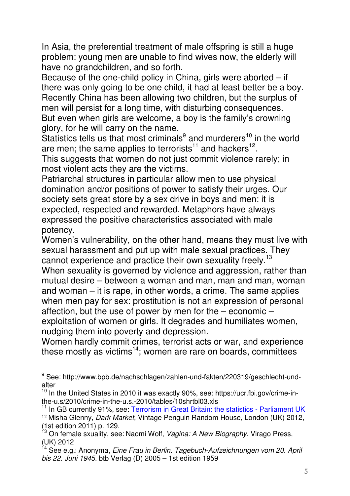In Asia, the preferential treatment of male offspring is still a huge problem: young men are unable to find wives now, the elderly will have no grandchildren, and so forth.

Because of the one-child policy in China, girls were aborted – if there was only going to be one child, it had at least better be a boy. Recently China has been allowing two children, but the surplus of men will persist for a long time, with disturbing consequences. But even when girls are welcome, a boy is the family's crowning glory, for he will carry on the name.

Statistics tells us that most criminals $9$  and murderers<sup>10</sup> in the world are men; the same applies to terrorists<sup>11</sup> and hackers<sup>12</sup>.

This suggests that women do not just commit violence rarely; in most violent acts they are the victims.

Patriarchal structures in particular allow men to use physical domination and/or positions of power to satisfy their urges. Our society sets great store by a sex drive in boys and men: it is expected, respected and rewarded. Metaphors have always expressed the positive characteristics associated with male potency.

Women's vulnerability, on the other hand, means they must live with sexual harassment and put up with male sexual practices. They cannot experience and practice their own sexuality freely.<sup>13</sup>

When sexuality is governed by violence and aggression, rather than mutual desire – between a woman and man, man and man, woman and woman – it is rape, in other words, a crime. The same applies when men pay for sex: prostitution is not an expression of personal affection, but the use of power by men for the  $-$  economic  $$ exploitation of women or girls. It degrades and humiliates women, nudging them into poverty and depression.

Women hardly commit crimes, terrorist acts or war, and experience these mostly as victims<sup>14</sup>; women are rare on boards, committees

<sup>&</sup>lt;sup>9</sup> See: http://www.bpb.de/nachschlagen/zahlen-und-fakten/220319/geschlecht-undalter

 $10$  In the United States in 2010 it was exactly 90%, see: https://ucr.fbi.gov/crime-inthe-u.s/2010/crime-in-the-u.s.-2010/tables/10shrtbl03.xls

<sup>&</sup>lt;sup>11</sup> In GB currently 91%, see: Terrorism in Great Britain: the statistics - Parliament UK <sup>12</sup> Misha Glenny, Dark Market, Vintage Penguin Random House, London (UK) 2012,

<sup>(1</sup>st edition 2011) p. 129.

<sup>&</sup>lt;sup>13</sup> On female sxuality, see: Naomi Wolf, *Vagina: A New Biography*. Virago Press, (UK) 2012

 $14$  See e.g.: Anonyma, Eine Frau in Berlin. Tagebuch-Aufzeichnungen vom 20. April bis 22. Juni 1945. btb Verlag (D) 2005 – 1st edition 1959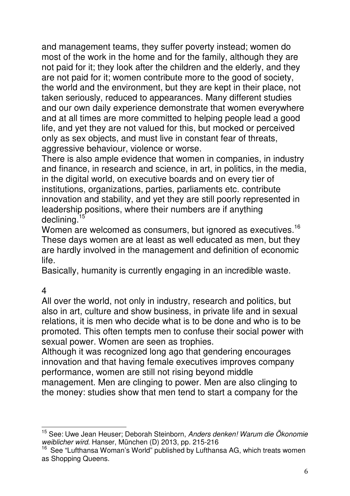and management teams, they suffer poverty instead; women do most of the work in the home and for the family, although they are not paid for it; they look after the children and the elderly, and they are not paid for it; women contribute more to the good of society, the world and the environment, but they are kept in their place, not taken seriously, reduced to appearances. Many different studies and our own daily experience demonstrate that women everywhere and at all times are more committed to helping people lead a good life, and yet they are not valued for this, but mocked or perceived only as sex objects, and must live in constant fear of threats, aggressive behaviour, violence or worse.

There is also ample evidence that women in companies, in industry and finance, in research and science, in art, in politics, in the media, in the digital world, on executive boards and on every tier of institutions, organizations, parties, parliaments etc. contribute innovation and stability, and yet they are still poorly represented in leadership positions, where their numbers are if anything declining.<sup>15</sup>

Women are welcomed as consumers, but ignored as executives.<sup>16</sup> These days women are at least as well educated as men, but they are hardly involved in the management and definition of economic life.

Basically, humanity is currently engaging in an incredible waste.

4

All over the world, not only in industry, research and politics, but also in art, culture and show business, in private life and in sexual relations, it is men who decide what is to be done and who is to be promoted. This often tempts men to confuse their social power with sexual power. Women are seen as trophies.

Although it was recognized long ago that gendering encourages innovation and that having female executives improves company performance, women are still not rising beyond middle management. Men are clinging to power. Men are also clinging to the money: studies show that men tend to start a company for the

l <sup>15</sup> See: Uwe Jean Heuser; Deborah Steinborn, Anders denken! Warum die Ökonomie weiblicher wird. Hanser, München (D) 2013, pp. 215-216

<sup>&</sup>lt;sup>16</sup> See "Lufthansa Woman's World" published by Lufthansa AG, which treats women as Shopping Queens.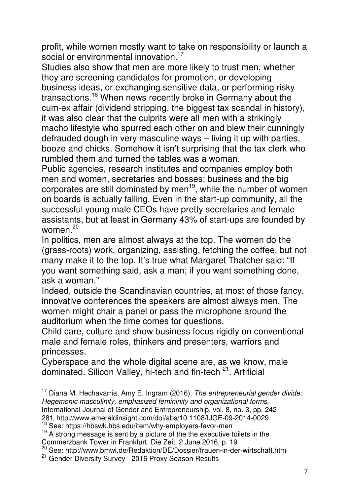profit, while women mostly want to take on responsibility or launch a social or environmental innovation.<sup>17</sup>

Studies also show that men are more likely to trust men, whether they are screening candidates for promotion, or developing business ideas, or exchanging sensitive data, or performing risky transactions.<sup>18</sup> When news recently broke in Germany about the cum-ex affair (dividend stripping, the biggest tax scandal in history), it was also clear that the culprits were all men with a strikingly macho lifestyle who spurred each other on and blew their cunningly defrauded dough in very masculine ways – living it up with parties, booze and chicks. Somehow it isn't surprising that the tax clerk who rumbled them and turned the tables was a woman.

Public agencies, research institutes and companies employ both men and women, secretaries and bosses; business and the big corporates are still dominated by men<sup>19</sup>, while the number of women on boards is actually falling. Even in the start-up community, all the successful young male CEOs have pretty secretaries and female assistants, but at least in Germany 43% of start-ups are founded by women $20$ 

In politics, men are almost always at the top. The women do the (grass-roots) work, organizing, assisting, fetching the coffee, but not many make it to the top. It's true what Margaret Thatcher said: "If you want something said, ask a man; if you want something done, ask a woman."

Indeed, outside the Scandinavian countries, at most of those fancy, innovative conferences the speakers are almost always men. The women might chair a panel or pass the microphone around the auditorium when the time comes for questions.

Child care, culture and show business focus rigidly on conventional male and female roles, thinkers and presenters, warriors and princesses.

Cyberspace and the whole digital scene are, as we know, male dominated. Silicon Valley, hi-tech and fin-tech <sup>21</sup>. Artificial

281, http://www.emeraldinsight.com/doi/abs/10.1108/IJGE-09-2014-0029

l  $17$  Diana M. Hechavarria, Amy E. Ingram (2016), The entrepreneurial gender divide: Hegemonic masculinity, emphasized femininity and organizational forms, International Journal of Gender and Entrepreneurship, vol. 8, no. 3, pp. 242-

<sup>18</sup> See: https://hbswk.hbs.edu/item/why-employers-favor-men

<sup>&</sup>lt;sup>19</sup> A strong message is sent by a picture of the the executive toilets in the

Commerzbank Tower in Frankfurt: Die Zeit, 2 June 2016, p. 19

<sup>20</sup> See: http://www.bmwi.de/Redaktion/DE/Dossier/frauen-in-der-wirtschaft.html

<sup>21</sup> Gender Diversity Survey - 2016 Proxy Season Results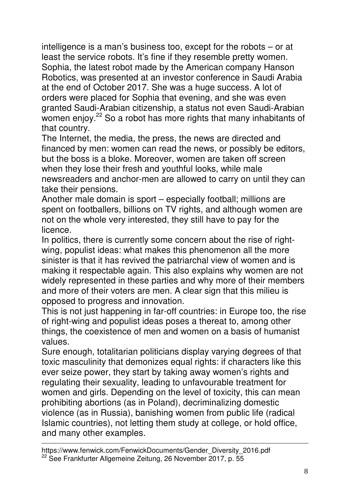intelligence is a man's business too, except for the robots – or at least the service robots. It's fine if they resemble pretty women. Sophia, the latest robot made by the American company Hanson Robotics, was presented at an investor conference in Saudi Arabia at the end of October 2017. She was a huge success. A lot of orders were placed for Sophia that evening, and she was even granted Saudi-Arabian citizenship, a status not even Saudi-Arabian women enjoy.<sup>22</sup> So a robot has more rights that many inhabitants of that country.

The Internet, the media, the press, the news are directed and financed by men: women can read the news, or possibly be editors, but the boss is a bloke. Moreover, women are taken off screen when they lose their fresh and youthful looks, while male newsreaders and anchor-men are allowed to carry on until they can take their pensions.

Another male domain is sport – especially football; millions are spent on footballers, billions on TV rights, and although women are not on the whole very interested, they still have to pay for the licence.

In politics, there is currently some concern about the rise of rightwing, populist ideas: what makes this phenomenon all the more sinister is that it has revived the patriarchal view of women and is making it respectable again. This also explains why women are not widely represented in these parties and why more of their members and more of their voters are men. A clear sign that this milieu is opposed to progress and innovation.

This is not just happening in far-off countries: in Europe too, the rise of right-wing and populist ideas poses a thereat to, among other things, the coexistence of men and women on a basis of humanist values.

Sure enough, totalitarian politicians display varying degrees of that toxic masculinity that demonizes equal rights: if characters like this ever seize power, they start by taking away women's rights and regulating their sexuality, leading to unfavourable treatment for women and girls. Depending on the level of toxicity, this can mean prohibiting abortions (as in Poland), decriminalizing domestic violence (as in Russia), banishing women from public life (radical Islamic countries), not letting them study at college, or hold office, and many other examples.

https://www.fenwick.com/FenwickDocuments/Gender\_Diversity\_2016.pdf <sup>22</sup> See Frankfurter Allgemeine Zeitung, 26 November 2017, p. 55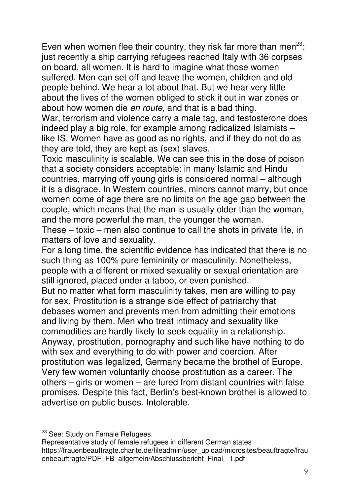Even when women flee their country, they risk far more than men<sup>23</sup>: just recently a ship carrying refugees reached Italy with 36 corpses on board, all women. It is hard to imagine what those women suffered. Men can set off and leave the women, children and old people behind. We hear a lot about that. But we hear very little about the lives of the women obliged to stick it out in war zones or about how women die en route, and that is a bad thing.

War, terrorism and violence carry a male tag, and testosterone does indeed play a big role, for example among radicalized Islamists – like IS. Women have as good as no rights, and if they do not do as they are told, they are kept as (sex) slaves.

Toxic masculinity is scalable. We can see this in the dose of poison that a society considers acceptable: in many Islamic and Hindu countries, marrying off young girls is considered normal – although it is a disgrace. In Western countries, minors cannot marry, but once women come of age there are no limits on the age gap between the couple, which means that the man is usually older than the woman, and the more powerful the man, the younger the woman.

These – toxic – men also continue to call the shots in private life, in matters of love and sexuality.

For a long time, the scientific evidence has indicated that there is no such thing as 100% pure femininity or masculinity. Nonetheless, people with a different or mixed sexuality or sexual orientation are still ignored, placed under a taboo, or even punished.

But no matter what form masculinity takes, men are willing to pay for sex. Prostitution is a strange side effect of patriarchy that debases women and prevents men from admitting their emotions and living by them. Men who treat intimacy and sexuality like commodities are hardly likely to seek equality in a relationship. Anyway, prostitution, pornography and such like have nothing to do with sex and everything to do with power and coercion. After prostitution was legalized, Germany became the brothel of Europe. Very few women voluntarily choose prostitution as a career. The others – girls or women – are lured from distant countries with false promises. Despite this fact, Berlin's best-known brothel is allowed to advertise on public buses. Intolerable.

l <sup>23</sup> See: Study on Female Refugees.

Representative study of female refugees in different German states https://frauenbeauftragte.charite.de/fileadmin/user\_upload/microsites/beauftragte/frau enbeauftragte/PDF\_FB\_allgemein/Abschlussbericht\_Final\_-1.pdf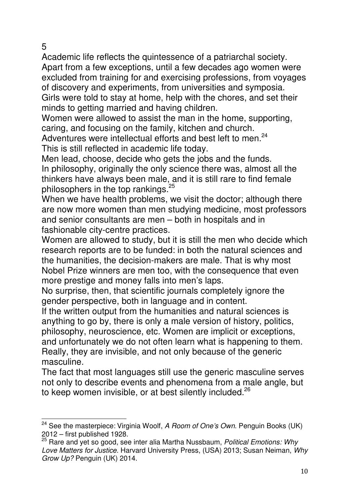5

l

Academic life reflects the quintessence of a patriarchal society. Apart from a few exceptions, until a few decades ago women were excluded from training for and exercising professions, from voyages of discovery and experiments, from universities and symposia. Girls were told to stay at home, help with the chores, and set their minds to getting married and having children.

Women were allowed to assist the man in the home, supporting, caring, and focusing on the family, kitchen and church.

Adventures were intellectual efforts and best left to men.<sup>24</sup> This is still reflected in academic life today.

Men lead, choose, decide who gets the jobs and the funds. In philosophy, originally the only science there was, almost all the thinkers have always been male, and it is still rare to find female philosophers in the top rankings.<sup>25</sup>

When we have health problems, we visit the doctor; although there are now more women than men studying medicine, most professors and senior consultants are men – both in hospitals and in fashionable city-centre practices.

Women are allowed to study, but it is still the men who decide which research reports are to be funded: in both the natural sciences and the humanities, the decision-makers are male. That is why most Nobel Prize winners are men too, with the consequence that even more prestige and money falls into men's laps.

No surprise, then, that scientific journals completely ignore the gender perspective, both in language and in content.

If the written output from the humanities and natural sciences is anything to go by, there is only a male version of history, politics, philosophy, neuroscience, etc. Women are implicit or exceptions, and unfortunately we do not often learn what is happening to them. Really, they are invisible, and not only because of the generic masculine.

The fact that most languages still use the generic masculine serves not only to describe events and phenomena from a male angle, but to keep women invisible, or at best silently included.<sup>26</sup>

<sup>&</sup>lt;sup>24</sup> See the masterpiece: Virginia Woolf, A Room of One's Own. Penguin Books (UK) 2012 – first published 1928.

 $25$  Rare and vet so good, see inter alia Martha Nussbaum, Political Emotions: Why Love Matters for Justice. Harvard University Press, (USA) 2013; Susan Neiman, Why Grow Up? Penguin (UK) 2014.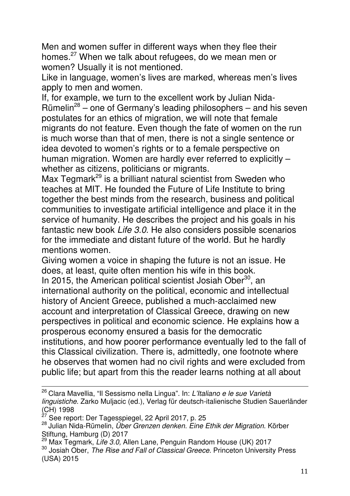Men and women suffer in different ways when they flee their homes.<sup>27</sup> When we talk about refugees, do we mean men or women? Usually it is not mentioned.

Like in language, women's lives are marked, whereas men's lives apply to men and women.

If, for example, we turn to the excellent work by Julian Nida-Rümelin<sup>28</sup> – one of Germany's leading philosophers – and his seven postulates for an ethics of migration, we will note that female migrants do not feature. Even though the fate of women on the run is much worse than that of men, there is not a single sentence or idea devoted to women's rights or to a female perspective on human migration. Women are hardly ever referred to explicitly – whether as citizens, politicians or migrants.

Max Tegmark<sup>29</sup> is a brilliant natural scientist from Sweden who teaches at MIT. He founded the Future of Life Institute to bring together the best minds from the research, business and political communities to investigate artificial intelligence and place it in the service of humanity. He describes the project and his goals in his fantastic new book Life 3.0. He also considers possible scenarios for the immediate and distant future of the world. But he hardly mentions women.

Giving women a voice in shaping the future is not an issue. He does, at least, quite often mention his wife in this book. In 2015, the American political scientist Josiah Ober<sup>30</sup>, an international authority on the political, economic and intellectual history of Ancient Greece, published a much-acclaimed new account and interpretation of Classical Greece, drawing on new perspectives in political and economic science. He explains how a prosperous economy ensured a basis for the democratic institutions, and how poorer performance eventually led to the fall of this Classical civilization. There is, admittedly, one footnote where he observes that women had no civil rights and were excluded from public life; but apart from this the reader learns nothing at all about

<sup>&</sup>lt;sup>26</sup> Clara Mavellia, "Il Sessismo nella Lingua". In: L'Italiano e le sue Varietà linguistiche. Zarko Muljacic (ed.), Verlag für deutsch-italienische Studien Sauerländer  $(CH)$  1998

See report: Der Tagesspiegel, 22 April 2017, p. 25

<sup>&</sup>lt;sup>28</sup> Julian Nida-Rümelin, Über Grenzen denken. Eine Ethik der Migration. Körber Stiftung, Hamburg (D) 2017

<sup>&</sup>lt;sup>29</sup> Max Tegmark, Life 3.0, Allen Lane, Penguin Random House (UK) 2017

<sup>&</sup>lt;sup>30</sup> Josiah Ober, The Rise and Fall of Classical Greece. Princeton University Press (USA) 2015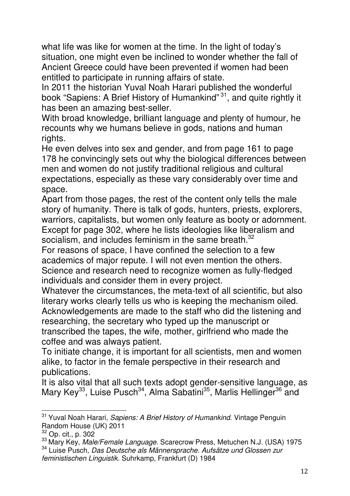what life was like for women at the time. In the light of today's situation, one might even be inclined to wonder whether the fall of Ancient Greece could have been prevented if women had been entitled to participate in running affairs of state.

In 2011 the historian Yuval Noah Harari published the wonderful book "Sapiens: A Brief History of Humankind"<sup>31</sup>, and quite rightly it has been an amazing best-seller.

With broad knowledge, brilliant language and plenty of humour, he recounts why we humans believe in gods, nations and human rights.

He even delves into sex and gender, and from page 161 to page 178 he convincingly sets out why the biological differences between men and women do not justify traditional religious and cultural expectations, especially as these vary considerably over time and space.

Apart from those pages, the rest of the content only tells the male story of humanity. There is talk of gods, hunters, priests, explorers, warriors, capitalists, but women only feature as booty or adornment. Except for page 302, where he lists ideologies like liberalism and socialism, and includes feminism in the same breath.<sup>32</sup>

For reasons of space, I have confined the selection to a few academics of major repute. I will not even mention the others. Science and research need to recognize women as fully-fledged individuals and consider them in every project.

Whatever the circumstances, the meta-text of all scientific, but also literary works clearly tells us who is keeping the mechanism oiled. Acknowledgements are made to the staff who did the listening and researching, the secretary who typed up the manuscript or transcribed the tapes, the wife, mother, girlfriend who made the coffee and was always patient.

To initiate change, it is important for all scientists, men and women alike, to factor in the female perspective in their research and publications.

It is also vital that all such texts adopt gender-sensitive language, as Mary Key<sup>33</sup>, Luise Pusch<sup>34</sup>, Alma Sabatini<sup>35</sup>, Marlis Hellinger<sup>36</sup> and

l <sup>31</sup> Yuval Noah Harari, *Sapiens: A Brief History of Humankind*. Vintage Penguin Random House (UK) 2011

<sup>32</sup> Op. cit., p. 302

<sup>&</sup>lt;sup>33</sup> Mary Key, *Male/Female Language*. Scarecrow Press, Metuchen N.J. (USA) 1975 <sup>34</sup> Luise Pusch, Das Deutsche als Männersprache. Aufsätze und Glossen zur

feministischen Linguistik. Suhrkamp, Frankfurt (D) 1984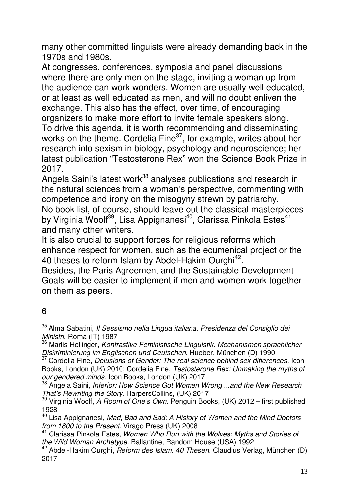many other committed linguists were already demanding back in the 1970s and 1980s.

At congresses, conferences, symposia and panel discussions where there are only men on the stage, inviting a woman up from the audience can work wonders. Women are usually well educated, or at least as well educated as men, and will no doubt enliven the exchange. This also has the effect, over time, of encouraging organizers to make more effort to invite female speakers along. To drive this agenda, it is worth recommending and disseminating works on the theme. Cordelia Fine<sup>37</sup>, for example, writes about her research into sexism in biology, psychology and neuroscience; her latest publication "Testosterone Rex" won the Science Book Prize in 2017.

Angela Saini's latest work<sup>38</sup> analyses publications and research in the natural sciences from a woman's perspective, commenting with competence and irony on the misogyny strewn by patriarchy. No book list, of course, should leave out the classical masterpieces by Virginia Woolf<sup>39</sup>, Lisa Appignanesi<sup>40</sup>, Clarissa Pinkola Estes<sup>41</sup> and many other writers.

It is also crucial to support forces for religious reforms which enhance respect for women, such as the ecumenical project or the 40 theses to reform Islam by Abdel-Hakim Ourghi<sup>42</sup>.

Besides, the Paris Agreement and the Sustainable Development Goals will be easier to implement if men and women work together on them as peers.

## 6 l

<sup>35</sup> Alma Sabatini, *Il Sessismo nella Lingua italiana. Presidenza del Consiglio dei* Ministri, Roma (IT) 1987

36 Marlis Hellinger, Kontrastive Feministische Linguistik. Mechanismen sprachlicher Diskriminierung im Englischen und Deutschen. Hueber, München (D) 1990

<sup>37</sup> Cordelia Fine, Delusions of Gender: The real science behind sex differences. Icon Books, London (UK) 2010; Cordelia Fine, Testosterone Rex: Unmaking the myths of our gendered minds. Icon Books, London (UK) 2017

<sup>&</sup>lt;sup>38</sup> Angela Saini, Inferior: How Science Got Women Wrong ...and the New Research That's Rewriting the Story. HarpersCollins, (UK) 2017

<sup>39</sup> Virginia Woolf, A Room of One's Own. Penguin Books, (UK) 2012 – first published 1928

<sup>40</sup> Lisa Appignanesi, Mad, Bad and Sad: A History of Women and the Mind Doctors from 1800 to the Present. Virago Press (UK) 2008

<sup>&</sup>lt;sup>41</sup> Clarissa Pinkola Estes, Women Who Run with the Wolves: Myths and Stories of the Wild Woman Archetype. Ballantine, Random House (USA) 1992

 $42$  Abdel-Hakim Ourghi, *Reform des Islam. 40 Thesen*. Claudius Verlag, München (D) 2017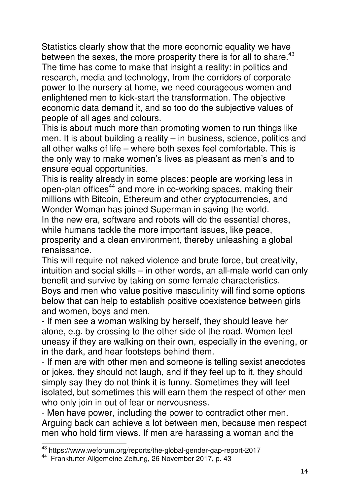Statistics clearly show that the more economic equality we have between the sexes, the more prosperity there is for all to share. $43$ The time has come to make that insight a reality: in politics and research, media and technology, from the corridors of corporate power to the nursery at home, we need courageous women and enlightened men to kick-start the transformation. The objective economic data demand it, and so too do the subjective values of people of all ages and colours.

This is about much more than promoting women to run things like men. It is about building a reality – in business, science, politics and all other walks of life – where both sexes feel comfortable. This is the only way to make women's lives as pleasant as men's and to ensure equal opportunities.

This is reality already in some places: people are working less in open-plan offices<sup>44</sup> and more in co-working spaces, making their millions with Bitcoin, Ethereum and other cryptocurrencies, and Wonder Woman has joined Superman in saving the world.

In the new era, software and robots will do the essential chores, while humans tackle the more important issues, like peace, prosperity and a clean environment, thereby unleashing a global renaissance.

This will require not naked violence and brute force, but creativity, intuition and social skills – in other words, an all-male world can only benefit and survive by taking on some female characteristics. Boys and men who value positive masculinity will find some options below that can help to establish positive coexistence between girls and women, boys and men.

- If men see a woman walking by herself, they should leave her alone, e.g. by crossing to the other side of the road. Women feel uneasy if they are walking on their own, especially in the evening, or in the dark, and hear footsteps behind them.

- If men are with other men and someone is telling sexist anecdotes or jokes, they should not laugh, and if they feel up to it, they should simply say they do not think it is funny. Sometimes they will feel isolated, but sometimes this will earn them the respect of other men who only join in out of fear or nervousness.

- Men have power, including the power to contradict other men. Arguing back can achieve a lot between men, because men respect men who hold firm views. If men are harassing a woman and the

<sup>43</sup> https://www.weforum.org/reports/the-global-gender-gap-report-2017

<sup>44</sup> Frankfurter Allgemeine Zeitung, 26 November 2017, p. 43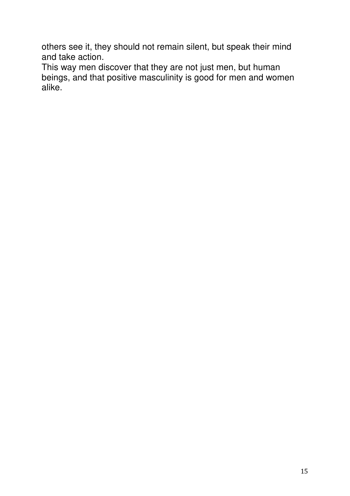others see it, they should not remain silent, but speak their mind and take action.

This way men discover that they are not just men, but human beings, and that positive masculinity is good for men and women alike.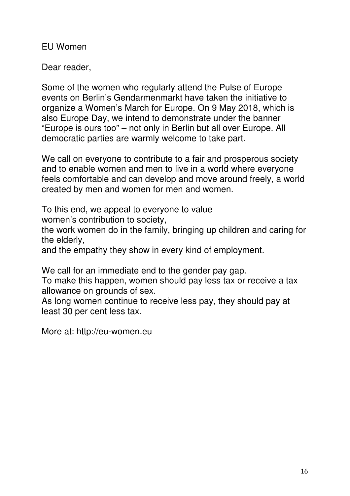EU Women

Dear reader,

Some of the women who regularly attend the Pulse of Europe events on Berlin's Gendarmenmarkt have taken the initiative to organize a Women's March for Europe. On 9 May 2018, which is also Europe Day, we intend to demonstrate under the banner "Europe is ours too" – not only in Berlin but all over Europe. All democratic parties are warmly welcome to take part.

We call on everyone to contribute to a fair and prosperous society and to enable women and men to live in a world where everyone feels comfortable and can develop and move around freely, a world created by men and women for men and women.

To this end, we appeal to everyone to value

women's contribution to society,

the work women do in the family, bringing up children and caring for the elderly,

and the empathy they show in every kind of employment.

We call for an immediate end to the gender pay gap.

To make this happen, women should pay less tax or receive a tax allowance on grounds of sex.

As long women continue to receive less pay, they should pay at least 30 per cent less tax.

More at: http://eu-women.eu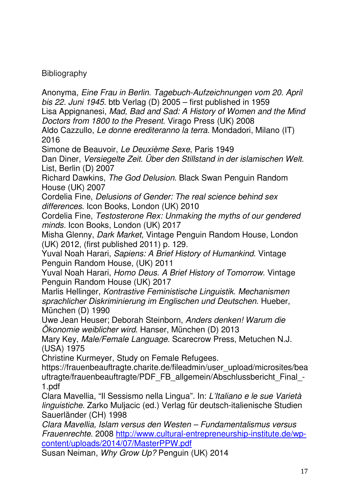## **Bibliography**

Anonyma, Eine Frau in Berlin. Tagebuch-Aufzeichnungen vom 20. April bis 22. Juni 1945. btb Verlag (D) 2005 – first published in 1959 Lisa Appignanesi, Mad, Bad and Sad: A History of Women and the Mind Doctors from 1800 to the Present. Virago Press (UK) 2008 Aldo Cazzullo, Le donne erediteranno la terra. Mondadori, Milano (IT) 2016 Simone de Beauvoir, Le Deuxième Sexe, Paris 1949 Dan Diner, Versiegelte Zeit. Über den Stillstand in der islamischen Welt. List, Berlin (D) 2007 Richard Dawkins, The God Delusion. Black Swan Penguin Random House (UK) 2007 Cordelia Fine, Delusions of Gender: The real science behind sex differences. Icon Books, London (UK) 2010 Cordelia Fine, Testosterone Rex: Unmaking the myths of our gendered minds. Icon Books, London (UK) 2017 Misha Glenny, Dark Market, Vintage Penguin Random House, London (UK) 2012, (first published 2011) p. 129. Yuval Noah Harari, Sapiens: A Brief History of Humankind. Vintage Penguin Random House, (UK) 2011 Yuval Noah Harari, Homo Deus. A Brief History of Tomorrow. Vintage Penguin Random House (UK) 2017 Marlis Hellinger, Kontrastive Feministische Linguistik. Mechanismen sprachlicher Diskriminierung im Englischen und Deutschen. Hueber, München (D) 1990 Uwe Jean Heuser; Deborah Steinborn, Anders denken! Warum die Ökonomie weiblicher wird. Hanser, München (D) 2013 Mary Key, Male/Female Language. Scarecrow Press, Metuchen N.J. (USA) 1975 Christine Kurmeyer, Study on Female Refugees. https://frauenbeauftragte.charite.de/fileadmin/user\_upload/microsites/bea uftragte/frauenbeauftragte/PDF\_FB\_allgemein/Abschlussbericht\_Final\_-1.pdf Clara Mavellia, "Il Sessismo nella Lingua". In: L'Italiano e le sue Varietà linguistiche. Zarko Muljacic (ed.) Verlag für deutsch-italienische Studien Sauerländer (CH) 1998 Clara Mavellia, Islam versus den Westen – Fundamentalismus versus Frauenrechte. 2008 http://www.cultural-entrepreneurship-institute.de/wpcontent/uploads/2014/07/MasterPPW.pdf Susan Neiman, Why Grow Up? Penguin (UK) 2014